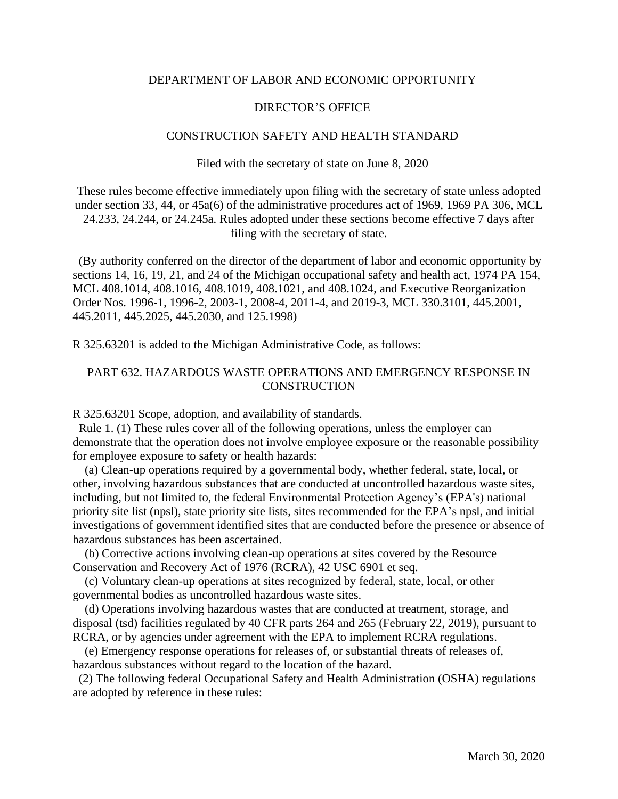## DEPARTMENT OF LABOR AND ECONOMIC OPPORTUNITY

## DIRECTOR'S OFFICE

## CONSTRUCTION SAFETY AND HEALTH STANDARD

Filed with the secretary of state on June 8, 2020

These rules become effective immediately upon filing with the secretary of state unless adopted under section 33, 44, or 45a(6) of the administrative procedures act of 1969, 1969 PA 306, MCL 24.233, 24.244, or 24.245a. Rules adopted under these sections become effective 7 days after filing with the secretary of state.

 (By authority conferred on the director of the department of labor and economic opportunity by sections 14, 16, 19, 21, and 24 of the Michigan occupational safety and health act, 1974 PA 154, MCL 408.1014, 408.1016, 408.1019, 408.1021, and 408.1024, and Executive Reorganization Order Nos. 1996-1, 1996-2, 2003-1, 2008-4, 2011-4, and 2019-3, MCL 330.3101, 445.2001, 445.2011, 445.2025, 445.2030, and 125.1998)

R 325.63201 is added to the Michigan Administrative Code, as follows:

## PART 632. HAZARDOUS WASTE OPERATIONS AND EMERGENCY RESPONSE IN **CONSTRUCTION**

R 325.63201 Scope, adoption, and availability of standards.

 Rule 1. (1) These rules cover all of the following operations, unless the employer can demonstrate that the operation does not involve employee exposure or the reasonable possibility for employee exposure to safety or health hazards:

 (a) Clean-up operations required by a governmental body, whether federal, state, local, or other, involving hazardous substances that are conducted at uncontrolled hazardous waste sites, including, but not limited to, the federal Environmental Protection Agency's (EPA's) national priority site list (npsl), state priority site lists, sites recommended for the EPA's npsl, and initial investigations of government identified sites that are conducted before the presence or absence of hazardous substances has been ascertained.

 (b) Corrective actions involving clean-up operations at sites covered by the Resource Conservation and Recovery Act of 1976 (RCRA), 42 USC 6901 et seq.

 (c) Voluntary clean-up operations at sites recognized by federal, state, local, or other governmental bodies as uncontrolled hazardous waste sites.

 (d) Operations involving hazardous wastes that are conducted at treatment, storage, and disposal (tsd) facilities regulated by 40 CFR parts 264 and 265 (February 22, 2019), pursuant to RCRA, or by agencies under agreement with the EPA to implement RCRA regulations.

 (e) Emergency response operations for releases of, or substantial threats of releases of, hazardous substances without regard to the location of the hazard.

 (2) The following federal Occupational Safety and Health Administration (OSHA) regulations are adopted by reference in these rules: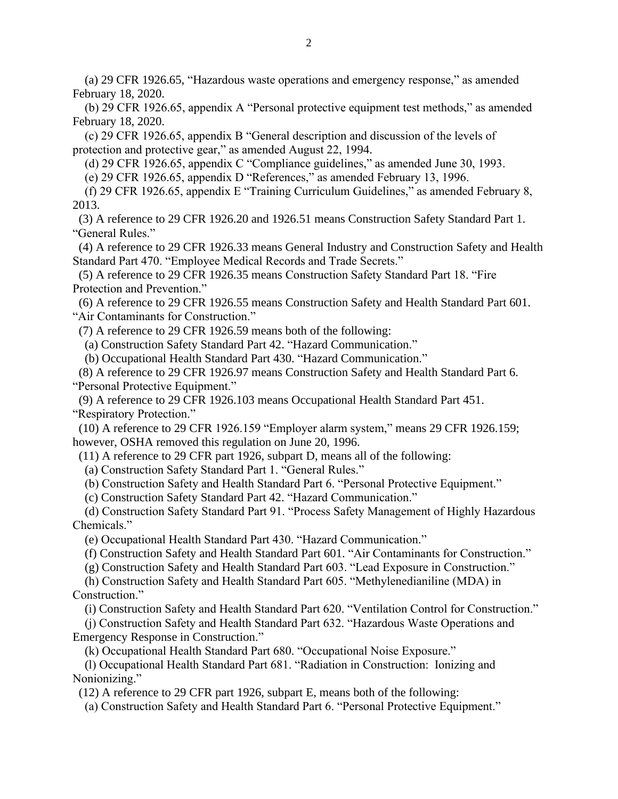(a) 29 CFR 1926.65, "Hazardous waste operations and emergency response," as amended February 18, 2020.

 (b) 29 CFR 1926.65, appendix A "Personal protective equipment test methods," as amended February 18, 2020.

 (c) 29 CFR 1926.65, appendix B "General description and discussion of the levels of protection and protective gear," as amended August 22, 1994.

(d) 29 CFR 1926.65, appendix C "Compliance guidelines," as amended June 30, 1993.

(e) 29 CFR 1926.65, appendix D "References," as amended February 13, 1996.

 (f) 29 CFR 1926.65, appendix E "Training Curriculum Guidelines," as amended February 8, 2013.

 (3) A reference to 29 CFR 1926.20 and 1926.51 means Construction Safety Standard Part 1. "General Rules."

 (4) A reference to 29 CFR 1926.33 means General Industry and Construction Safety and Health Standard Part 470. "Employee Medical Records and Trade Secrets."

 (5) A reference to 29 CFR 1926.35 means Construction Safety Standard Part 18. "Fire Protection and Prevention."

 (6) A reference to 29 CFR 1926.55 means Construction Safety and Health Standard Part 601. "Air Contaminants for Construction."

(7) A reference to 29 CFR 1926.59 means both of the following:

(a) Construction Safety Standard Part 42. "Hazard Communication."

(b) Occupational Health Standard Part 430. "Hazard Communication."

 (8) A reference to 29 CFR 1926.97 means Construction Safety and Health Standard Part 6. "Personal Protective Equipment."

 (9) A reference to 29 CFR 1926.103 means Occupational Health Standard Part 451. "Respiratory Protection."

 (10) A reference to 29 CFR 1926.159 "Employer alarm system," means 29 CFR 1926.159; however, OSHA removed this regulation on June 20, 1996.

(11) A reference to 29 CFR part 1926, subpart D, means all of the following:

(a) Construction Safety Standard Part 1. "General Rules."

(b) Construction Safety and Health Standard Part 6. "Personal Protective Equipment."

(c) Construction Safety Standard Part 42. "Hazard Communication."

 (d) Construction Safety Standard Part 91. "Process Safety Management of Highly Hazardous Chemicals."

(e) Occupational Health Standard Part 430. "Hazard Communication."

(f) Construction Safety and Health Standard Part 601. "Air Contaminants for Construction."

(g) Construction Safety and Health Standard Part 603. "Lead Exposure in Construction."

 (h) Construction Safety and Health Standard Part 605. "Methylenedianiline (MDA) in Construction."

(i) Construction Safety and Health Standard Part 620. "Ventilation Control for Construction."

 (j) Construction Safety and Health Standard Part 632. "Hazardous Waste Operations and Emergency Response in Construction."

(k) Occupational Health Standard Part 680. "Occupational Noise Exposure."

 (l) Occupational Health Standard Part 681. "Radiation in Construction: Ionizing and Nonionizing."

(12) A reference to 29 CFR part 1926, subpart E, means both of the following:

(a) Construction Safety and Health Standard Part 6. "Personal Protective Equipment."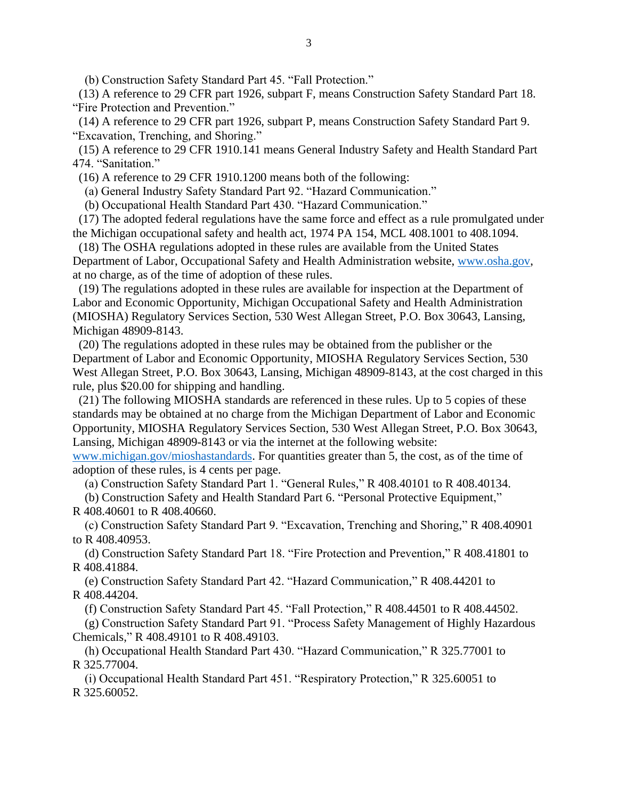(b) Construction Safety Standard Part 45. "Fall Protection."

 (13) A reference to 29 CFR part 1926, subpart F, means Construction Safety Standard Part 18. "Fire Protection and Prevention."

 (14) A reference to 29 CFR part 1926, subpart P, means Construction Safety Standard Part 9. "Excavation, Trenching, and Shoring."

 (15) A reference to 29 CFR 1910.141 means General Industry Safety and Health Standard Part 474. "Sanitation."

(16) A reference to 29 CFR 1910.1200 means both of the following:

(a) General Industry Safety Standard Part 92. "Hazard Communication."

(b) Occupational Health Standard Part 430. "Hazard Communication."

 (17) The adopted federal regulations have the same force and effect as a rule promulgated under the Michigan occupational safety and health act, 1974 PA 154, MCL 408.1001 to 408.1094.

 (18) The OSHA regulations adopted in these rules are available from the United States Department of Labor, Occupational Safety and Health Administration website, www.osha.gov, at no charge, as of the time of adoption of these rules.

(19) The regulations adopted in these rules are available for inspection at the Department of Labor and Economic Opportunity, Michigan Occupational Safety and Health Administration (MIOSHA) Regulatory Services Section, 530 West Allegan Street, P.O. Box 30643, Lansing, Michigan 48909-8143.

 (20) The regulations adopted in these rules may be obtained from the publisher or the Department of Labor and Economic Opportunity, MIOSHA Regulatory Services Section, 530 West Allegan Street, P.O. Box 30643, Lansing, Michigan 48909-8143, at the cost charged in this rule, plus \$20.00 for shipping and handling.

 (21) The following MIOSHA standards are referenced in these rules. Up to 5 copies of these standards may be obtained at no charge from the Michigan Department of Labor and Economic Opportunity, MIOSHA Regulatory Services Section, 530 West Allegan Street, P.O. Box 30643, Lansing, Michigan 48909-8143 or via the internet at the following website:

[www.michigan.gov/mioshastandards.](http://www.michigan.gov/mioshastandards) For quantities greater than 5, the cost, as of the time of adoption of these rules, is 4 cents per page.

(a) Construction Safety Standard Part 1. "General Rules," R 408.40101 to R 408.40134.

 (b) Construction Safety and Health Standard Part 6. "Personal Protective Equipment," R 408.40601 to R 408.40660.

 (c) Construction Safety Standard Part 9. "Excavation, Trenching and Shoring," R 408.40901 to R 408.40953.

 (d) Construction Safety Standard Part 18. "Fire Protection and Prevention," R 408.41801 to R 408.41884.

 (e) Construction Safety Standard Part 42. "Hazard Communication," R 408.44201 to R 408.44204.

(f) Construction Safety Standard Part 45. "Fall Protection," R 408.44501 to R 408.44502.

 (g) Construction Safety Standard Part 91. "Process Safety Management of Highly Hazardous Chemicals," R 408.49101 to R 408.49103.

 (h) Occupational Health Standard Part 430. "Hazard Communication," R 325.77001 to R 325.77004.

 (i) Occupational Health Standard Part 451. "Respiratory Protection," R 325.60051 to R 325.60052.